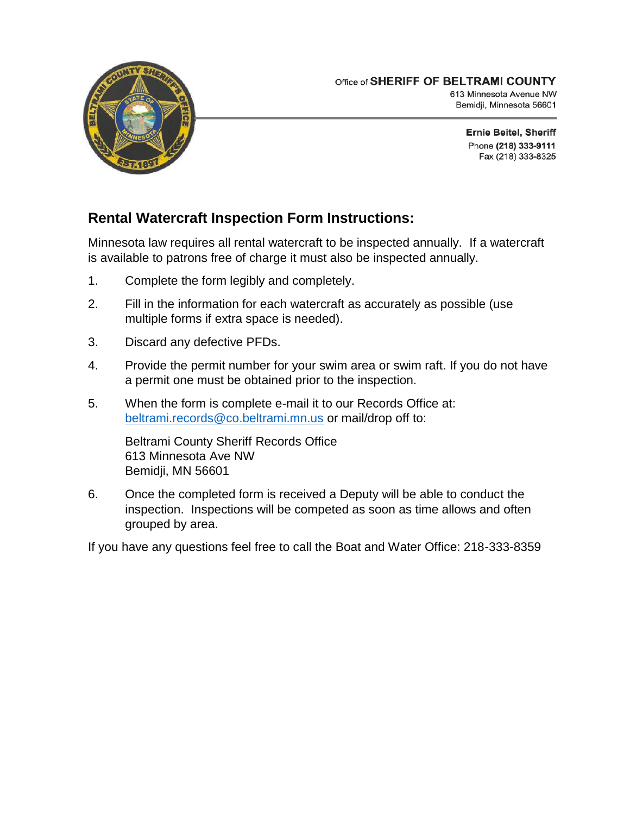

Bemidji, Minnesota 56601

**Ernie Beitel, Sheriff** Phone (218) 333-9111 Fax (218) 333-8325

## **Rental Watercraft Inspection Form Instructions:**

Minnesota law requires all rental watercraft to be inspected annually. If a watercraft is available to patrons free of charge it must also be inspected annually.

- 1. Complete the form legibly and completely.
- 2. Fill in the information for each watercraft as accurately as possible (use multiple forms if extra space is needed).
- 3. Discard any defective PFDs.
- 4. Provide the permit number for your swim area or swim raft. If you do not have a permit one must be obtained prior to the inspection.
- 5. When the form is complete e-mail it to our Records Office at: [beltrami.records@co.beltrami.mn.us](mailto:beltrami.records@co.beltrami.mn.us) or mail/drop off to:

Beltrami County Sheriff Records Office 613 Minnesota Ave NW Bemidji, MN 56601

6. Once the completed form is received a Deputy will be able to conduct the inspection. Inspections will be competed as soon as time allows and often grouped by area.

If you have any questions feel free to call the Boat and Water Office: 218-333-8359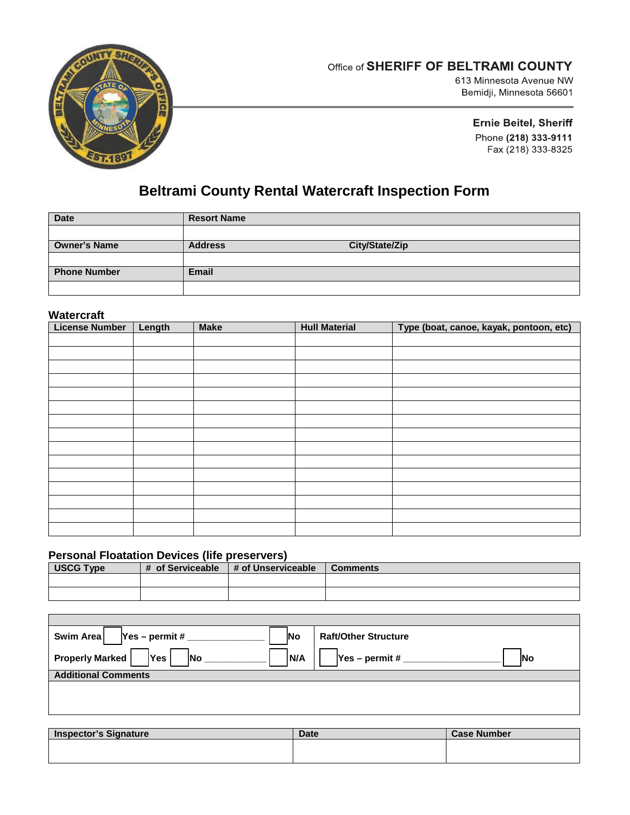

### Office of SHERIFF OF BELTRAMI COUNTY

613 Minnesota Avenue NW Bemidji, Minnesota 56601

> **Ernie Beitel, Sheriff** Phone (218) 333-9111 Fax (218) 333-8325

# **Beltrami County Rental Watercraft Inspection Form**

| <b>Date</b>         | <b>Resort Name</b> |                |
|---------------------|--------------------|----------------|
|                     |                    |                |
| <b>Owner's Name</b> | <b>Address</b>     | City/State/Zip |
|                     |                    |                |
| <b>Phone Number</b> | <b>Email</b>       |                |
|                     |                    |                |

#### **Watercraft**

| <b>License Number</b> | Length | <b>Make</b> | <b>Hull Material</b> | Type (boat, canoe, kayak, pontoon, etc) |
|-----------------------|--------|-------------|----------------------|-----------------------------------------|
|                       |        |             |                      |                                         |
|                       |        |             |                      |                                         |
|                       |        |             |                      |                                         |
|                       |        |             |                      |                                         |
|                       |        |             |                      |                                         |
|                       |        |             |                      |                                         |
|                       |        |             |                      |                                         |
|                       |        |             |                      |                                         |
|                       |        |             |                      |                                         |
|                       |        |             |                      |                                         |
|                       |        |             |                      |                                         |
|                       |        |             |                      |                                         |
|                       |        |             |                      |                                         |
|                       |        |             |                      |                                         |
|                       |        |             |                      |                                         |

#### **Personal Floatation Devices (life preservers)**

| <b>USCG Type</b> | # of Serviceable | # of Unserviceable | <b>Comments</b> |
|------------------|------------------|--------------------|-----------------|
|                  |                  |                    |                 |
|                  |                  |                    |                 |

| Swim Area<br>$Yes - permit #$<br><b>Raft/Other Structure</b><br><b>No</b>      |  |
|--------------------------------------------------------------------------------|--|
| <b>Properly Marked</b><br><b>Yes</b><br>IN/A<br>$Yes - permit #$<br> No<br>INo |  |
| <b>Additional Comments</b>                                                     |  |
|                                                                                |  |
|                                                                                |  |
|                                                                                |  |
|                                                                                |  |

| <b>Inspector's Signature</b> | <b>Date</b> | <b>Case Number</b> |
|------------------------------|-------------|--------------------|
|                              |             |                    |
|                              |             |                    |